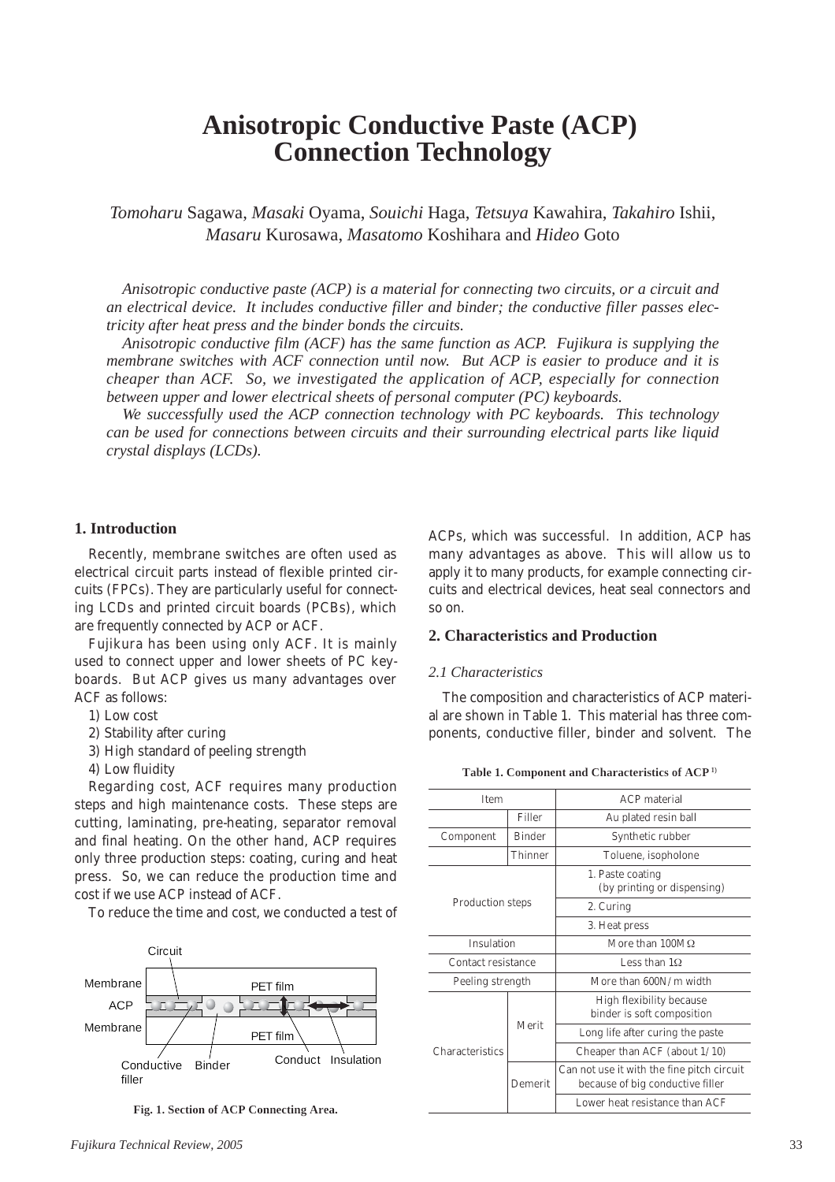# **Anisotropic Conductive Paste (ACP) Connection Technology**

*Tomoharu* Sagawa, *Masaki* Oyama, *Souichi* Haga, *Tetsuya* Kawahira, *Takahiro* Ishii, *Masaru* Kurosawa, *Masatomo* Koshihara and *Hideo* Goto

*Anisotropic conductive paste (ACP) is a material for connecting two circuits, or a circuit and an electrical device. It includes conductive filler and binder; the conductive filler passes electricity after heat press and the binder bonds the circuits.*

*Anisotropic conductive film (ACF) has the same function as ACP. Fujikura is supplying the membrane switches with ACF connection until now. But ACP is easier to produce and it is cheaper than ACF. So, we investigated the application of ACP, especially for connection between upper and lower electrical sheets of personal computer (PC) keyboards.*

*We successfully used the ACP connection technology with PC keyboards. This technology can be used for connections between circuits and their surrounding electrical parts like liquid crystal displays (LCDs).*

# **1. Introduction**

Recently, membrane switches are often used as electrical circuit parts instead of flexible printed circuits (FPCs). They are particularly useful for connecting LCDs and printed circuit boards (PCBs), which are frequently connected by ACP or ACF.

Fujikura has been using only ACF. It is mainly used to connect upper and lower sheets of PC keyboards. But ACP gives us many advantages over ACF as follows:

- 1) Low cost
- 2) Stability after curing
- 3) High standard of peeling strength
- 4) Low fluidity

Regarding cost, ACF requires many production steps and high maintenance costs. These steps are cutting, laminating, pre-heating, separator removal and final heating. On the other hand, ACP requires only three production steps: coating, curing and heat press. So, we can reduce the production time and cost if we use ACP instead of ACF.

To reduce the time and cost, we conducted a test of



**Fig. 1. Section of ACP Connecting Area.**

ACPs, which was successful. In addition, ACP has many advantages as above. This will allow us to apply it to many products, for example connecting circuits and electrical devices, heat seal connectors and so on.

# **2. Characteristics and Production**

#### *2.1 Characteristics*

The composition and characteristics of ACP material are shown in Table 1. This material has three components, conductive filler, binder and solvent. The

| <b>Item</b>             |               | <b>ACP</b> material                                                            |
|-------------------------|---------------|--------------------------------------------------------------------------------|
|                         | Filler        | Au plated resin ball                                                           |
| Component               | <b>Binder</b> | Synthetic rubber                                                               |
|                         | Thinner       | Toluene, isopholone                                                            |
| <b>Production steps</b> |               | 1. Paste coating<br>(by printing or dispensing)                                |
|                         |               | 2. Curing                                                                      |
|                         |               | 3. Heat press                                                                  |
| Insulation              |               | More than $100M\Omega$                                                         |
| Contact resistance      |               | Less than 10                                                                   |
| Peeling strength        |               | More than 600N/m width                                                         |
| <b>Characteristics</b>  | Merit         | High flexibility because<br>binder is soft composition                         |
|                         |               | Long life after curing the paste                                               |
|                         |               | Cheaper than ACF (about $1/10$ )                                               |
|                         | Demerit       | Can not use it with the fine pitch circuit<br>because of big conductive filler |
|                         |               | Lower heat resistance than ACF                                                 |

**Table 1. Component and Characteristics of ACP1)**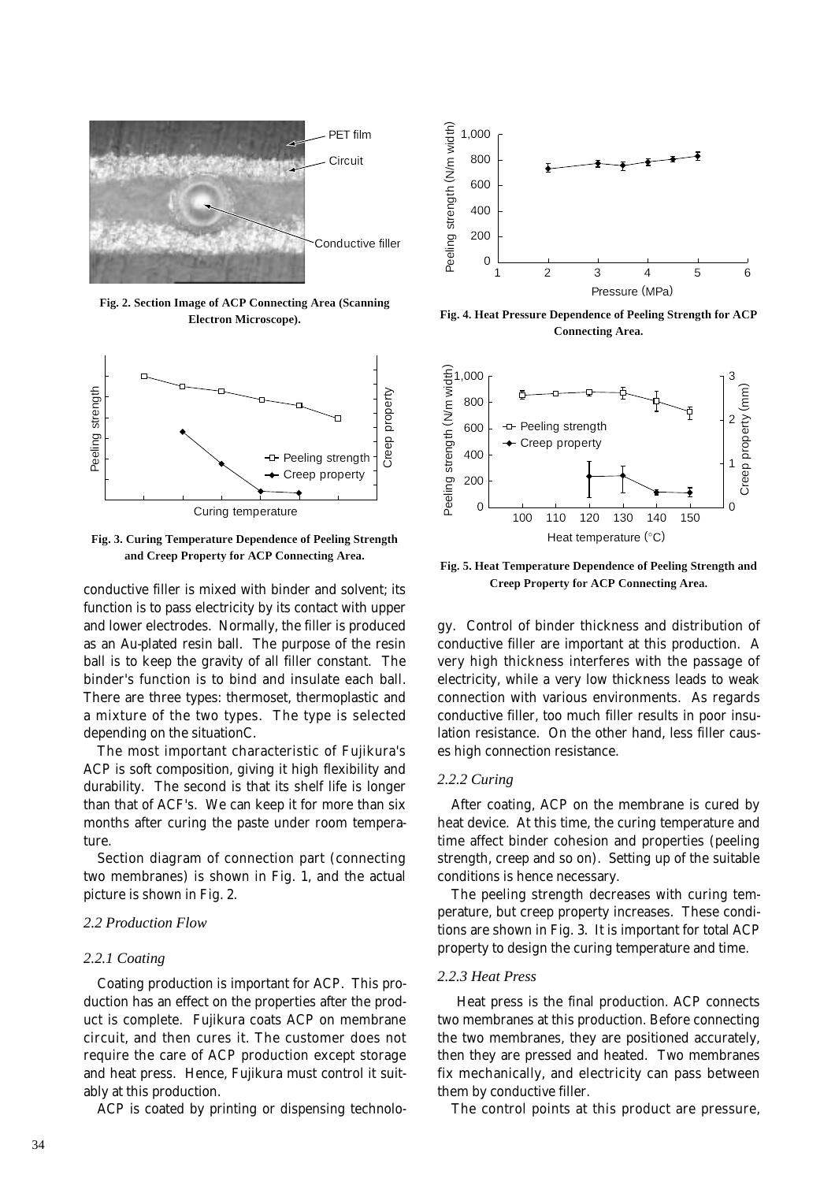

**Fig. 2. Section Image of ACP Connecting Area (Scanning Electron Microscope).**



**Fig. 3. Curing Temperature Dependence of Peeling Strength and Creep Property for ACP Connecting Area.**

conductive filler is mixed with binder and solvent; its function is to pass electricity by its contact with upper and lower electrodes. Normally, the filler is produced as an Au-plated resin ball. The purpose of the resin ball is to keep the gravity of all filler constant. The binder's function is to bind and insulate each ball. There are three types: thermoset, thermoplastic and a mixture of the two types. The type is selected depending on the situationC.

The most important characteristic of Fujikura's ACP is soft composition, giving it high flexibility and durability. The second is that its shelf life is longer than that of ACF's. We can keep it for more than six months after curing the paste under room temperature.

Section diagram of connection part (connecting two membranes) is shown in Fig. 1, and the actual picture is shown in Fig. 2.

### *2.2 Production Flow*

#### *2.2.1 Coating*

Coating production is important for ACP. This production has an effect on the properties after the product is complete. Fujikura coats ACP on membrane circuit, and then cures it. The customer does not require the care of ACP production except storage and heat press. Hence, Fujikura must control it suitably at this production.

ACP is coated by printing or dispensing technolo-



**Fig. 4. Heat Pressure Dependence of Peeling Strength for ACP Connecting Area.**



**Fig. 5. Heat Temperature Dependence of Peeling Strength and Creep Property for ACP Connecting Area.**

gy. Control of binder thickness and distribution of conductive filler are important at this production. A very high thickness interferes with the passage of electricity, while a very low thickness leads to weak connection with various environments. As regards conductive filler, too much filler results in poor insulation resistance. On the other hand, less filler causes high connection resistance.

#### *2.2.2 Curing*

After coating, ACP on the membrane is cured by heat device. At this time, the curing temperature and time affect binder cohesion and properties (peeling strength, creep and so on). Setting up of the suitable conditions is hence necessary.

The peeling strength decreases with curing temperature, but creep property increases. These conditions are shown in Fig. 3. It is important for total ACP property to design the curing temperature and time.

#### *2.2.3 Heat Press*

Heat press is the final production. ACP connects two membranes at this production. Before connecting the two membranes, they are positioned accurately, then they are pressed and heated. Two membranes fix mechanically, and electricity can pass between them by conductive filler.

The control points at this product are pressure,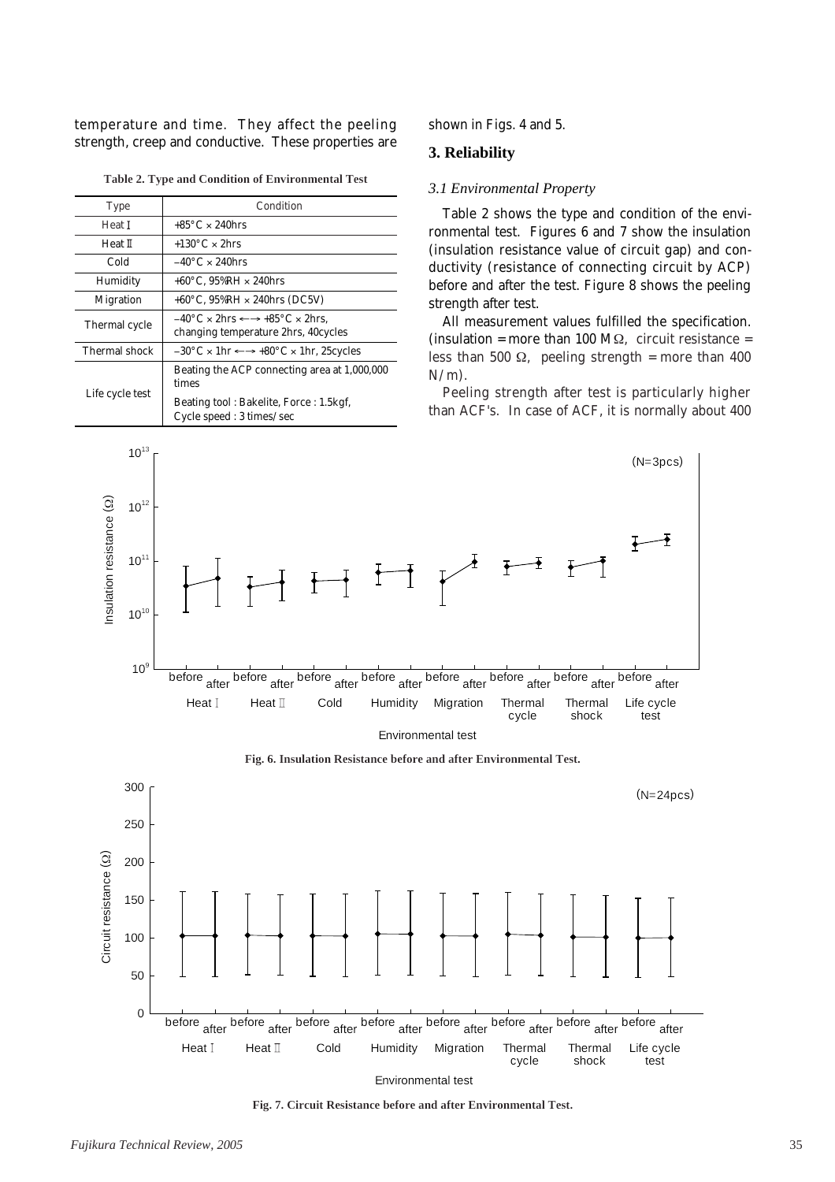temperature and time. They affect the peeling strength, creep and conductive. These properties are

|  |  |  | Table 2. Type and Condition of Environmental Test |  |
|--|--|--|---------------------------------------------------|--|
|--|--|--|---------------------------------------------------|--|

| Type             | Condition                                                                                                               |  |
|------------------|-------------------------------------------------------------------------------------------------------------------------|--|
| Heat I           | $+85^{\circ}$ C $\times$ 240 hrs                                                                                        |  |
| Heat II          | +130 $\degree$ C × 2hrs                                                                                                 |  |
| Cold             | $-40^{\circ}$ C $\times$ 240 hrs                                                                                        |  |
| Humidity         | $+60^{\circ}$ C. 95%RH $\times$ 240hrs                                                                                  |  |
| <b>Migration</b> | $+60^{\circ}$ C, 95%RH $\times$ 240hrs (DC5V)                                                                           |  |
| Thermal cycle    | $-40\degree C \times 2$ hrs $\leftarrow \rightarrow +85\degree C \times 2$ hrs.<br>changing temperature 2hrs, 40 cycles |  |
| Thermal shock    | $-30^{\circ}$ C × 1hr $\leftarrow \rightarrow +80^{\circ}$ C × 1hr, 25 cycles                                           |  |
| Life cycle test  | Beating the ACP connecting area at 1,000,000<br>times                                                                   |  |
|                  | Beating tool: Bakelite, Force: 1.5 kgf,<br>Cycle speed: 3 times/sec                                                     |  |

shown in Figs. 4 and 5.

#### **3. Reliability**

#### *3.1 Environmental Property*

Table 2 shows the type and condition of the environmental test. Figures 6 and 7 show the insulation (insulation resistance value of circuit gap) and conductivity (resistance of connecting circuit by ACP) before and after the test. Figure 8 shows the peeling strength after test.

All measurement values fulfilled the specification. (insulation = more than 100 M $\Omega$ , circuit resistance = less than 500  $Ω$ , peeling strength = more than 400  $N/m$ ).

Peeling strength after test is particularly higher than ACF's. In case of ACF, it is normally about 400



**Fig. 6. Insulation Resistance before and after Environmental Test.**



**Fig. 7. Circuit Resistance before and after Environmental Test.**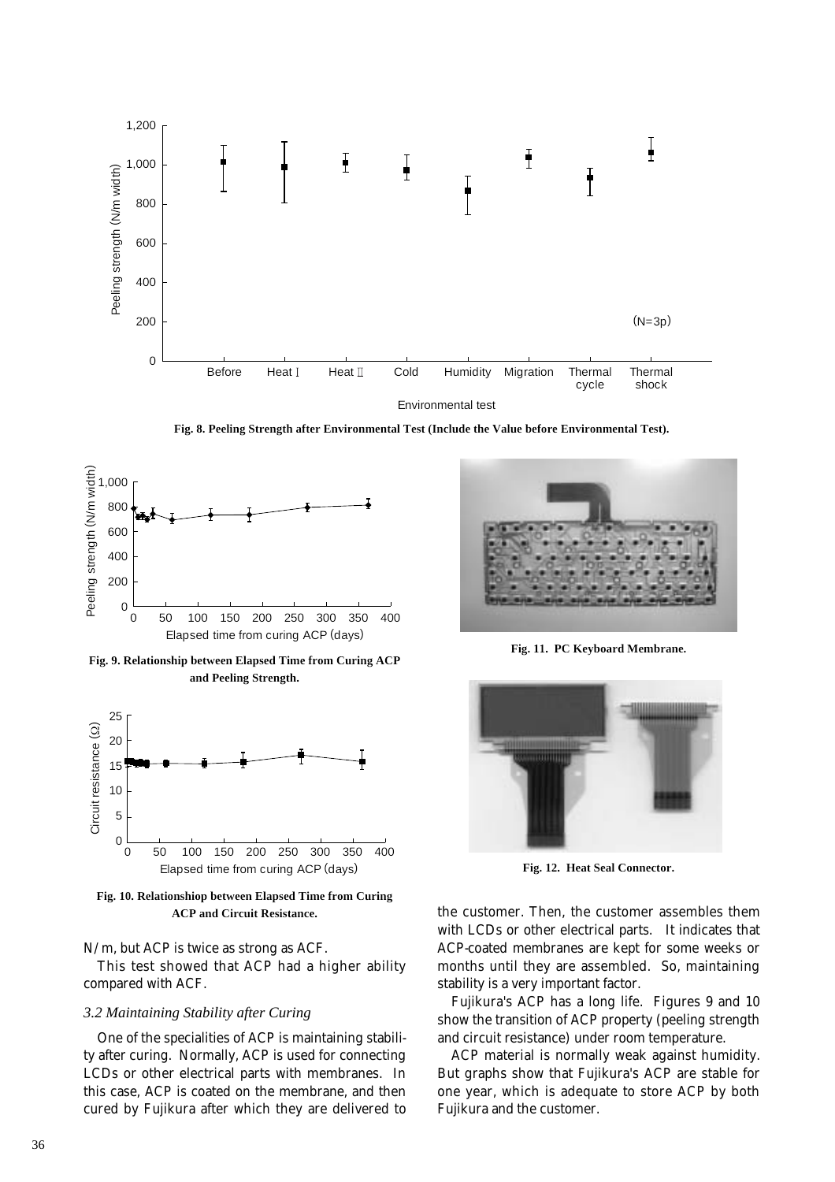

**Fig. 8. Peeling Strength after Environmental Test (Include the Value before Environmental Test).**



**Fig. 9. Relationship between Elapsed Time from Curing ACP and Peeling Strength.**



**Fig. 10. Relationshiop between Elapsed Time from Curing ACP and Circuit Resistance.**

# N/m, but ACP is twice as strong as ACF.

This test showed that ACP had a higher ability compared with ACF.

### *3.2 Maintaining Stability after Curing*

One of the specialities of ACP is maintaining stability after curing. Normally, ACP is used for connecting LCDs or other electrical parts with membranes. In this case, ACP is coated on the membrane, and then cured by Fujikura after which they are delivered to



**Fig. 11. PC Keyboard Membrane.**



**Fig. 12. Heat Seal Connector.**

the customer. Then, the customer assembles them with LCDs or other electrical parts. It indicates that ACP-coated membranes are kept for some weeks or months until they are assembled. So, maintaining stability is a very important factor.

Fujikura's ACP has a long life. Figures 9 and 10 show the transition of ACP property (peeling strength and circuit resistance) under room temperature.

ACP material is normally weak against humidity. But graphs show that Fujikura's ACP are stable for one year, which is adequate to store ACP by both Fujikura and the customer.